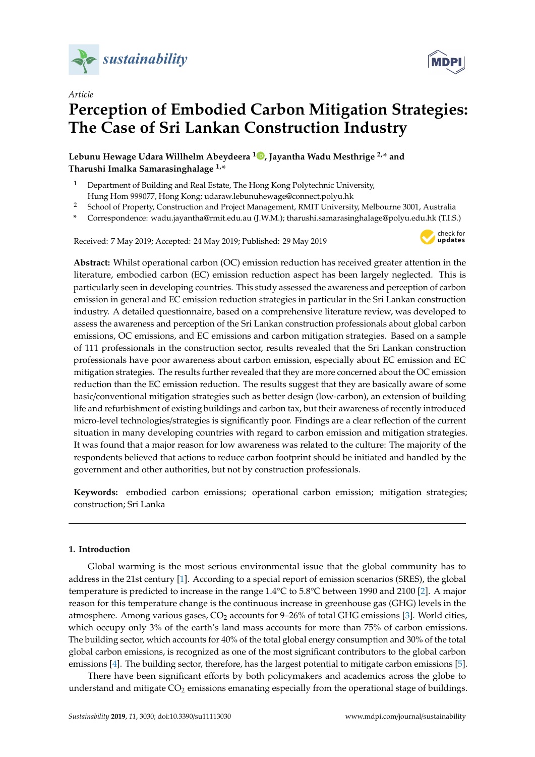

*Article*



# **Perception of Embodied Carbon Mitigation Strategies: The Case of Sri Lankan Construction Industry**

**Lebunu Hewage Udara Willhelm Abeydeera <sup>1</sup> [,](https://orcid.org/0000-0002-6304-9093) Jayantha Wadu Mesthrige 2,\* and Tharushi Imalka Samarasinghalage 1,\***

- <sup>1</sup> Department of Building and Real Estate, The Hong Kong Polytechnic University, Hung Hom 999077, Hong Kong; udaraw.lebunuhewage@connect.polyu.hk
- <sup>2</sup> School of Property, Construction and Project Management, RMIT University, Melbourne 3001, Australia
- **\*** Correspondence: wadu.jayantha@rmit.edu.au (J.W.M.); tharushi.samarasinghalage@polyu.edu.hk (T.I.S.)

Received: 7 May 2019; Accepted: 24 May 2019; Published: 29 May 2019



**MDPI** 

**Abstract:** Whilst operational carbon (OC) emission reduction has received greater attention in the literature, embodied carbon (EC) emission reduction aspect has been largely neglected. This is particularly seen in developing countries. This study assessed the awareness and perception of carbon emission in general and EC emission reduction strategies in particular in the Sri Lankan construction industry. A detailed questionnaire, based on a comprehensive literature review, was developed to assess the awareness and perception of the Sri Lankan construction professionals about global carbon emissions, OC emissions, and EC emissions and carbon mitigation strategies. Based on a sample of 111 professionals in the construction sector, results revealed that the Sri Lankan construction professionals have poor awareness about carbon emission, especially about EC emission and EC mitigation strategies. The results further revealed that they are more concerned about the OC emission reduction than the EC emission reduction. The results suggest that they are basically aware of some basic/conventional mitigation strategies such as better design (low-carbon), an extension of building life and refurbishment of existing buildings and carbon tax, but their awareness of recently introduced micro-level technologies/strategies is significantly poor. Findings are a clear reflection of the current situation in many developing countries with regard to carbon emission and mitigation strategies. It was found that a major reason for low awareness was related to the culture: The majority of the respondents believed that actions to reduce carbon footprint should be initiated and handled by the government and other authorities, but not by construction professionals.

**Keywords:** embodied carbon emissions; operational carbon emission; mitigation strategies; construction; Sri Lanka

### **1. Introduction**

Global warming is the most serious environmental issue that the global community has to address in the 21st century [\[1\]](#page-15-0). According to a special report of emission scenarios (SRES), the global temperature is predicted to increase in the range 1.4°C to 5.8°C between 1990 and 2100 [\[2\]](#page-15-1). A major reason for this temperature change is the continuous increase in greenhouse gas (GHG) levels in the atmosphere. Among various gases,  $CO<sub>2</sub>$  accounts for 9–26% of total GHG emissions [\[3\]](#page-15-2). World cities, which occupy only 3% of the earth's land mass accounts for more than 75% of carbon emissions. The building sector, which accounts for 40% of the total global energy consumption and 30% of the total global carbon emissions, is recognized as one of the most significant contributors to the global carbon emissions [\[4\]](#page-15-3). The building sector, therefore, has the largest potential to mitigate carbon emissions [\[5\]](#page-15-4).

There have been significant efforts by both policymakers and academics across the globe to understand and mitigate  $CO<sub>2</sub>$  emissions emanating especially from the operational stage of buildings.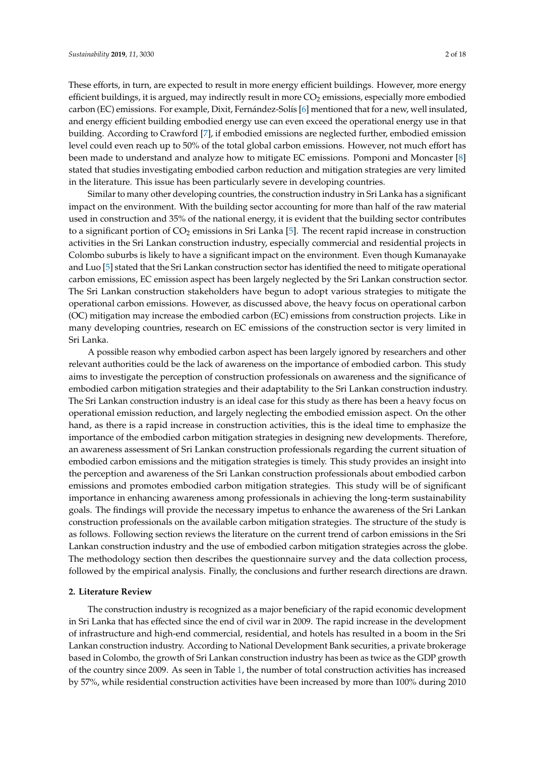These efforts, in turn, are expected to result in more energy efficient buildings. However, more energy efficient buildings, it is argued, may indirectly result in more  $CO<sub>2</sub>$  emissions, especially more embodied carbon (EC) emissions. For example, Dixit, Fernández-Solís [\[6\]](#page-15-5) mentioned that for a new, well insulated, and energy efficient building embodied energy use can even exceed the operational energy use in that building. According to Crawford [\[7\]](#page-15-6), if embodied emissions are neglected further, embodied emission level could even reach up to 50% of the total global carbon emissions. However, not much effort has been made to understand and analyze how to mitigate EC emissions. Pomponi and Moncaster [\[8\]](#page-15-7) stated that studies investigating embodied carbon reduction and mitigation strategies are very limited in the literature. This issue has been particularly severe in developing countries.

Similar to many other developing countries, the construction industry in Sri Lanka has a significant impact on the environment. With the building sector accounting for more than half of the raw material used in construction and 35% of the national energy, it is evident that the building sector contributes to a significant portion of  $CO<sub>2</sub>$  emissions in Sri Lanka [\[5\]](#page-15-4). The recent rapid increase in construction activities in the Sri Lankan construction industry, especially commercial and residential projects in Colombo suburbs is likely to have a significant impact on the environment. Even though Kumanayake and Luo [\[5\]](#page-15-4) stated that the Sri Lankan construction sector has identified the need to mitigate operational carbon emissions, EC emission aspect has been largely neglected by the Sri Lankan construction sector. The Sri Lankan construction stakeholders have begun to adopt various strategies to mitigate the operational carbon emissions. However, as discussed above, the heavy focus on operational carbon (OC) mitigation may increase the embodied carbon (EC) emissions from construction projects. Like in many developing countries, research on EC emissions of the construction sector is very limited in Sri Lanka.

A possible reason why embodied carbon aspect has been largely ignored by researchers and other relevant authorities could be the lack of awareness on the importance of embodied carbon. This study aims to investigate the perception of construction professionals on awareness and the significance of embodied carbon mitigation strategies and their adaptability to the Sri Lankan construction industry. The Sri Lankan construction industry is an ideal case for this study as there has been a heavy focus on operational emission reduction, and largely neglecting the embodied emission aspect. On the other hand, as there is a rapid increase in construction activities, this is the ideal time to emphasize the importance of the embodied carbon mitigation strategies in designing new developments. Therefore, an awareness assessment of Sri Lankan construction professionals regarding the current situation of embodied carbon emissions and the mitigation strategies is timely. This study provides an insight into the perception and awareness of the Sri Lankan construction professionals about embodied carbon emissions and promotes embodied carbon mitigation strategies. This study will be of significant importance in enhancing awareness among professionals in achieving the long-term sustainability goals. The findings will provide the necessary impetus to enhance the awareness of the Sri Lankan construction professionals on the available carbon mitigation strategies. The structure of the study is as follows. Following section reviews the literature on the current trend of carbon emissions in the Sri Lankan construction industry and the use of embodied carbon mitigation strategies across the globe. The methodology section then describes the questionnaire survey and the data collection process, followed by the empirical analysis. Finally, the conclusions and further research directions are drawn.

#### **2. Literature Review**

The construction industry is recognized as a major beneficiary of the rapid economic development in Sri Lanka that has effected since the end of civil war in 2009. The rapid increase in the development of infrastructure and high-end commercial, residential, and hotels has resulted in a boom in the Sri Lankan construction industry. According to National Development Bank securities, a private brokerage based in Colombo, the growth of Sri Lankan construction industry has been as twice as the GDP growth of the country since 2009. As seen in Table [1,](#page-2-0) the number of total construction activities has increased by 57%, while residential construction activities have been increased by more than 100% during 2010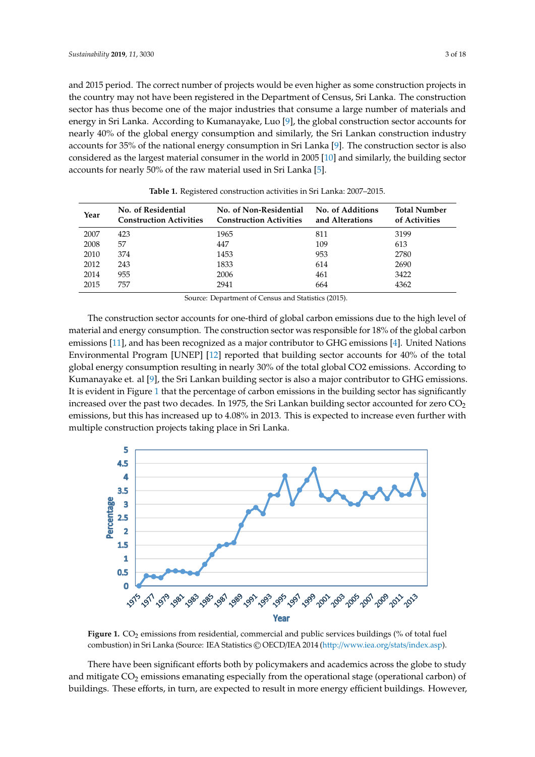and 2015 period. The correct number of projects would be even higher as some construction projects in the country may not have been registered in the Department of Census, Sri Lanka. The construction sector has thus become one of the major industries that consume a large number of materials and energy in Sri Lanka. According to Kumanayake, Luo [\[9\]](#page-15-8), the global construction sector accounts for nearly 40% of the global energy consumption and similarly, the Sri Lankan construction industry accounts for 35% of the national energy consumption in Sri Lanka [\[9\]](#page-15-8). The construction sector is also considered as the largest material consumer in the world in 2005 [\[10\]](#page-15-9) and similarly, the building sector acco[un](#page-15-4)ts for nearly 50% of the raw material used in Sri Lanka [5].

| Year | No. of Residential<br><b>Construction Activities</b> | No. of Non-Residential<br><b>Construction Activities</b> | No. of Additions<br>and Alterations | <b>Total Number</b><br>of Activities |
|------|------------------------------------------------------|----------------------------------------------------------|-------------------------------------|--------------------------------------|
| 2007 | 423                                                  | 1965                                                     | 811                                 | 3199                                 |
| 2008 | 57                                                   | 447                                                      | 109                                 | 613                                  |
| 2010 | 374                                                  | 1453                                                     | 953                                 | 2780                                 |
| 2012 | 243                                                  | 1833                                                     | 614                                 | 2690                                 |
| 2014 | 955                                                  | 2006                                                     | 461                                 | 3422                                 |
| 2015 | 757                                                  | 2941                                                     | 664                                 | 4362                                 |

<span id="page-2-0"></span>**Table 1.** Registered construction activities in Sri Lanka: 2007–2015.

Source: Department of Census and Statistics (2015).

The construction sector accounts for one-third of global carbon emissions due to the high level of material and energy consumption. The construction sector was responsible for 18% of the global carbon emissions [\[11\]](#page-15-10), and has been recognized as a major contributor to GHG emissions [\[4\]](#page-15-3). United Nations Environmental Program [UNEP] [\[12\]](#page-15-11) reported that building sector accounts for 40% of the total global energy consumption resulting in nearly 30% of the total global CO2 emissions. According to Kumanayake et. al [\[9\]](#page-15-8), the Sri Lankan building sector is also a major contributor to GHG emissions. It is evident in Figure [1](#page-2-1) that the percentage of carbon emissions in the building sector has significantly increased over the past two decades. In 1975, the Sri Lankan building sector accounted for zero  $CO<sub>2</sub>$ emissions, but this has increased up to 4.08% in 2013. This is expected to increase even further with multiple construction projects taking place in Sri Lanka.

<span id="page-2-1"></span>

combustion) in Sri Lanka (Source: IEA Statistics © OECD/IEA 2014 (http://www.iea.org/stats/index.asp). Figure 1. CO<sub>2</sub> emissions from residential, commercial and public services buildings (% of total fuel

There have been significant efforts both by policymakers and academics across the globe to study mere have been significant enotes boat by policy matters and academics across are globe to statay.<br>and mitigate CO<sub>2</sub> emissions emanating especially from the operational stage (operational carbon) of *2.1 Embodied Carbon Mitigation Strategies*  buildings. These efforts, in turn, are expected to result in more energy efficient buildings. However,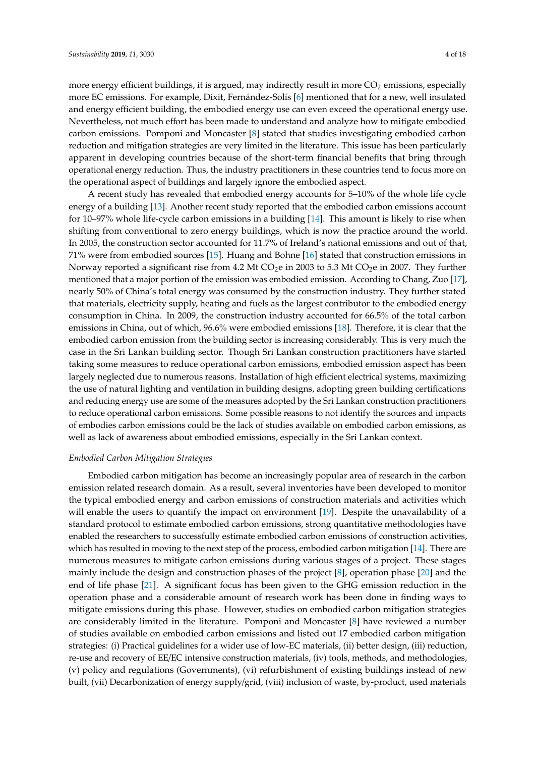more energy efficient buildings, it is argued, may indirectly result in more  $CO<sub>2</sub>$  emissions, especially more EC emissions. For example, Dixit, Fernández-Solís [\[6\]](#page-15-5) mentioned that for a new, well insulated and energy efficient building, the embodied energy use can even exceed the operational energy use. Nevertheless, not much effort has been made to understand and analyze how to mitigate embodied carbon emissions. Pomponi and Moncaster [\[8\]](#page-15-7) stated that studies investigating embodied carbon reduction and mitigation strategies are very limited in the literature. This issue has been particularly apparent in developing countries because of the short-term financial benefits that bring through operational energy reduction. Thus, the industry practitioners in these countries tend to focus more on the operational aspect of buildings and largely ignore the embodied aspect.

A recent study has revealed that embodied energy accounts for 5–10% of the whole life cycle energy of a building [\[13\]](#page-15-12). Another recent study reported that the embodied carbon emissions account for 10–97% whole life-cycle carbon emissions in a building [\[14\]](#page-15-13). This amount is likely to rise when shifting from conventional to zero energy buildings, which is now the practice around the world. In 2005, the construction sector accounted for 11.7% of Ireland's national emissions and out of that, 71% were from embodied sources [\[15\]](#page-15-14). Huang and Bohne [\[16\]](#page-15-15) stated that construction emissions in Norway reported a significant rise from 4.2 Mt  $CO<sub>2</sub>e$  in 2003 to 5.3 Mt  $CO<sub>2</sub>e$  in 2007. They further mentioned that a major portion of the emission was embodied emission. According to Chang, Zuo [\[17\]](#page-15-16), nearly 50% of China's total energy was consumed by the construction industry. They further stated that materials, electricity supply, heating and fuels as the largest contributor to the embodied energy consumption in China. In 2009, the construction industry accounted for 66.5% of the total carbon emissions in China, out of which, 96.6% were embodied emissions [\[18\]](#page-15-17). Therefore, it is clear that the embodied carbon emission from the building sector is increasing considerably. This is very much the case in the Sri Lankan building sector. Though Sri Lankan construction practitioners have started taking some measures to reduce operational carbon emissions, embodied emission aspect has been largely neglected due to numerous reasons. Installation of high efficient electrical systems, maximizing the use of natural lighting and ventilation in building designs, adopting green building certifications and reducing energy use are some of the measures adopted by the Sri Lankan construction practitioners to reduce operational carbon emissions. Some possible reasons to not identify the sources and impacts of embodies carbon emissions could be the lack of studies available on embodied carbon emissions, as well as lack of awareness about embodied emissions, especially in the Sri Lankan context.

## *Embodied Carbon Mitigation Strategies*

Embodied carbon mitigation has become an increasingly popular area of research in the carbon emission related research domain. As a result, several inventories have been developed to monitor the typical embodied energy and carbon emissions of construction materials and activities which will enable the users to quantify the impact on environment [\[19\]](#page-15-18). Despite the unavailability of a standard protocol to estimate embodied carbon emissions, strong quantitative methodologies have enabled the researchers to successfully estimate embodied carbon emissions of construction activities, which has resulted in moving to the next step of the process, embodied carbon mitigation [\[14\]](#page-15-13). There are numerous measures to mitigate carbon emissions during various stages of a project. These stages mainly include the design and construction phases of the project [\[8\]](#page-15-7), operation phase [\[20\]](#page-15-19) and the end of life phase [\[21\]](#page-16-0). A significant focus has been given to the GHG emission reduction in the operation phase and a considerable amount of research work has been done in finding ways to mitigate emissions during this phase. However, studies on embodied carbon mitigation strategies are considerably limited in the literature. Pomponi and Moncaster [\[8\]](#page-15-7) have reviewed a number of studies available on embodied carbon emissions and listed out 17 embodied carbon mitigation strategies: (i) Practical guidelines for a wider use of low-EC materials, (ii) better design, (iii) reduction, re-use and recovery of EE/EC intensive construction materials, (iv) tools, methods, and methodologies, (v) policy and regulations (Governments), (vi) refurbishment of existing buildings instead of new built, (vii) Decarbonization of energy supply/grid, (viii) inclusion of waste, by-product, used materials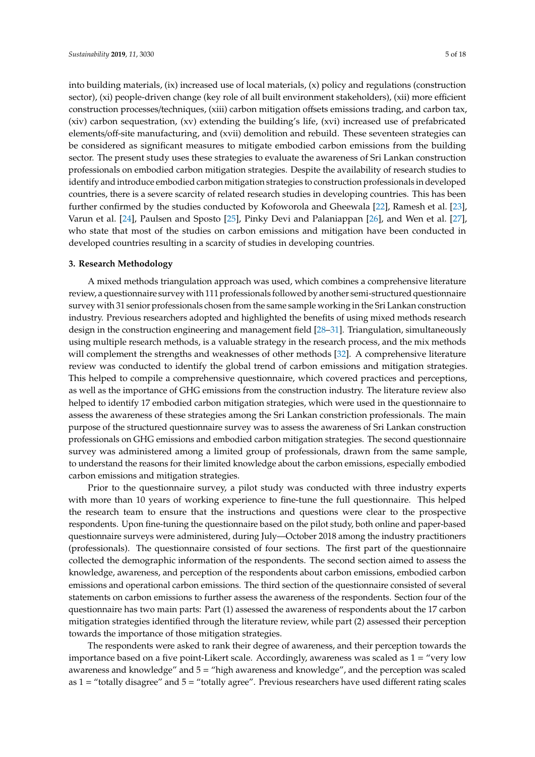into building materials, (ix) increased use of local materials, (x) policy and regulations (construction sector), (xi) people-driven change (key role of all built environment stakeholders), (xii) more efficient construction processes/techniques, (xiii) carbon mitigation offsets emissions trading, and carbon tax, (xiv) carbon sequestration, (xv) extending the building's life, (xvi) increased use of prefabricated elements/off-site manufacturing, and (xvii) demolition and rebuild. These seventeen strategies can be considered as significant measures to mitigate embodied carbon emissions from the building sector. The present study uses these strategies to evaluate the awareness of Sri Lankan construction professionals on embodied carbon mitigation strategies. Despite the availability of research studies to identify and introduce embodied carbon mitigation strategies to construction professionals in developed countries, there is a severe scarcity of related research studies in developing countries. This has been further confirmed by the studies conducted by Kofoworola and Gheewala [\[22\]](#page-16-1), Ramesh et al. [\[23\]](#page-16-2), Varun et al. [\[24\]](#page-16-3), Paulsen and Sposto [\[25\]](#page-16-4), Pinky Devi and Palaniappan [\[26\]](#page-16-5), and Wen et al. [\[27\]](#page-16-6), who state that most of the studies on carbon emissions and mitigation have been conducted in developed countries resulting in a scarcity of studies in developing countries.

#### **3. Research Methodology**

A mixed methods triangulation approach was used, which combines a comprehensive literature review, a questionnaire survey with 111 professionals followed by another semi-structured questionnaire survey with 31 senior professionals chosen from the same sample working in the Sri Lankan construction industry. Previous researchers adopted and highlighted the benefits of using mixed methods research design in the construction engineering and management field [\[28–](#page-16-7)[31\]](#page-16-8). Triangulation, simultaneously using multiple research methods, is a valuable strategy in the research process, and the mix methods will complement the strengths and weaknesses of other methods [\[32\]](#page-16-9). A comprehensive literature review was conducted to identify the global trend of carbon emissions and mitigation strategies. This helped to compile a comprehensive questionnaire, which covered practices and perceptions, as well as the importance of GHG emissions from the construction industry. The literature review also helped to identify 17 embodied carbon mitigation strategies, which were used in the questionnaire to assess the awareness of these strategies among the Sri Lankan constriction professionals. The main purpose of the structured questionnaire survey was to assess the awareness of Sri Lankan construction professionals on GHG emissions and embodied carbon mitigation strategies. The second questionnaire survey was administered among a limited group of professionals, drawn from the same sample, to understand the reasons for their limited knowledge about the carbon emissions, especially embodied carbon emissions and mitigation strategies.

Prior to the questionnaire survey, a pilot study was conducted with three industry experts with more than 10 years of working experience to fine-tune the full questionnaire. This helped the research team to ensure that the instructions and questions were clear to the prospective respondents. Upon fine-tuning the questionnaire based on the pilot study, both online and paper-based questionnaire surveys were administered, during July—October 2018 among the industry practitioners (professionals). The questionnaire consisted of four sections. The first part of the questionnaire collected the demographic information of the respondents. The second section aimed to assess the knowledge, awareness, and perception of the respondents about carbon emissions, embodied carbon emissions and operational carbon emissions. The third section of the questionnaire consisted of several statements on carbon emissions to further assess the awareness of the respondents. Section four of the questionnaire has two main parts: Part (1) assessed the awareness of respondents about the 17 carbon mitigation strategies identified through the literature review, while part (2) assessed their perception towards the importance of those mitigation strategies.

The respondents were asked to rank their degree of awareness, and their perception towards the importance based on a five point-Likert scale. Accordingly, awareness was scaled as  $1 =$  "very low awareness and knowledge" and 5 = "high awareness and knowledge", and the perception was scaled as 1 = "totally disagree" and 5 = "totally agree". Previous researchers have used different rating scales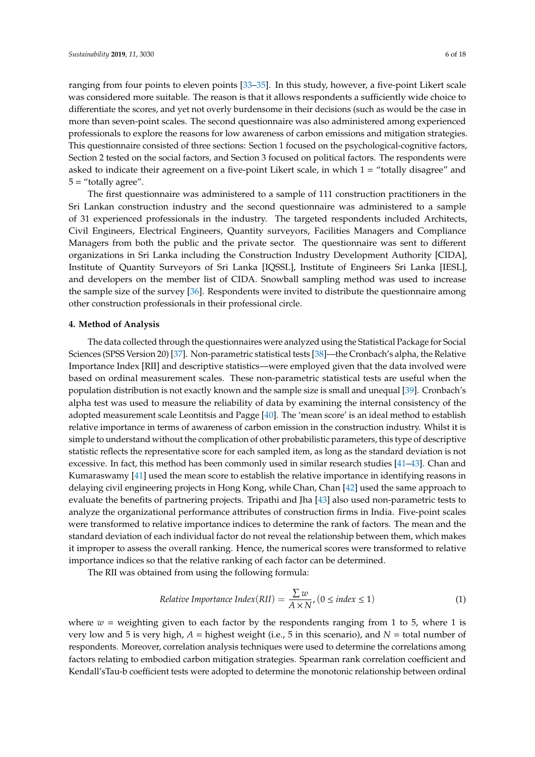ranging from four points to eleven points [\[33–](#page-16-10)[35\]](#page-16-11). In this study, however, a five-point Likert scale was considered more suitable. The reason is that it allows respondents a sufficiently wide choice to differentiate the scores, and yet not overly burdensome in their decisions (such as would be the case in more than seven-point scales. The second questionnaire was also administered among experienced professionals to explore the reasons for low awareness of carbon emissions and mitigation strategies. This questionnaire consisted of three sections: Section 1 focused on the psychological-cognitive factors, Section 2 tested on the social factors, and Section 3 focused on political factors. The respondents were asked to indicate their agreement on a five-point Likert scale, in which  $1 =$  "totally disagree" and  $5 =$  "totally agree".

The first questionnaire was administered to a sample of 111 construction practitioners in the Sri Lankan construction industry and the second questionnaire was administered to a sample of 31 experienced professionals in the industry. The targeted respondents included Architects, Civil Engineers, Electrical Engineers, Quantity surveyors, Facilities Managers and Compliance Managers from both the public and the private sector. The questionnaire was sent to different organizations in Sri Lanka including the Construction Industry Development Authority [CIDA], Institute of Quantity Surveyors of Sri Lanka [IQSSL], Institute of Engineers Sri Lanka [IESL], and developers on the member list of CIDA. Snowball sampling method was used to increase the sample size of the survey [\[36\]](#page-16-12). Respondents were invited to distribute the questionnaire among other construction professionals in their professional circle.

#### **4. Method of Analysis**

The data collected through the questionnaires were analyzed using the Statistical Package for Social Sciences (SPSS Version 20) [\[37\]](#page-16-13). Non-parametric statistical tests [\[38\]](#page-16-14)—the Cronbach's alpha, the Relative Importance Index [RII] and descriptive statistics—were employed given that the data involved were based on ordinal measurement scales. These non-parametric statistical tests are useful when the population distribution is not exactly known and the sample size is small and unequal [\[39\]](#page-16-15). Cronbach's alpha test was used to measure the reliability of data by examining the internal consistency of the adopted measurement scale Leontitsis and Pagge [\[40\]](#page-16-16). The 'mean score' is an ideal method to establish relative importance in terms of awareness of carbon emission in the construction industry. Whilst it is simple to understand without the complication of other probabilistic parameters, this type of descriptive statistic reflects the representative score for each sampled item, as long as the standard deviation is not excessive. In fact, this method has been commonly used in similar research studies [\[41](#page-16-17)[–43\]](#page-16-18). Chan and Kumaraswamy [\[41\]](#page-16-17) used the mean score to establish the relative importance in identifying reasons in delaying civil engineering projects in Hong Kong, while Chan, Chan [\[42\]](#page-16-19) used the same approach to evaluate the benefits of partnering projects. Tripathi and Jha [\[43\]](#page-16-18) also used non-parametric tests to analyze the organizational performance attributes of construction firms in India. Five-point scales were transformed to relative importance indices to determine the rank of factors. The mean and the standard deviation of each individual factor do not reveal the relationship between them, which makes it improper to assess the overall ranking. Hence, the numerical scores were transformed to relative importance indices so that the relative ranking of each factor can be determined.

The RII was obtained from using the following formula:

$$
Relative\,Importance\,Index(RII) = \frac{\sum w}{A \times N}, (0 \leq index \leq 1)
$$
\n<sup>(1)</sup>

where  $w =$  weighting given to each factor by the respondents ranging from 1 to 5, where 1 is very low and 5 is very high, *A* = highest weight (i.e., 5 in this scenario), and *N* = total number of respondents. Moreover, correlation analysis techniques were used to determine the correlations among factors relating to embodied carbon mitigation strategies. Spearman rank correlation coefficient and Kendall'sTau-b coefficient tests were adopted to determine the monotonic relationship between ordinal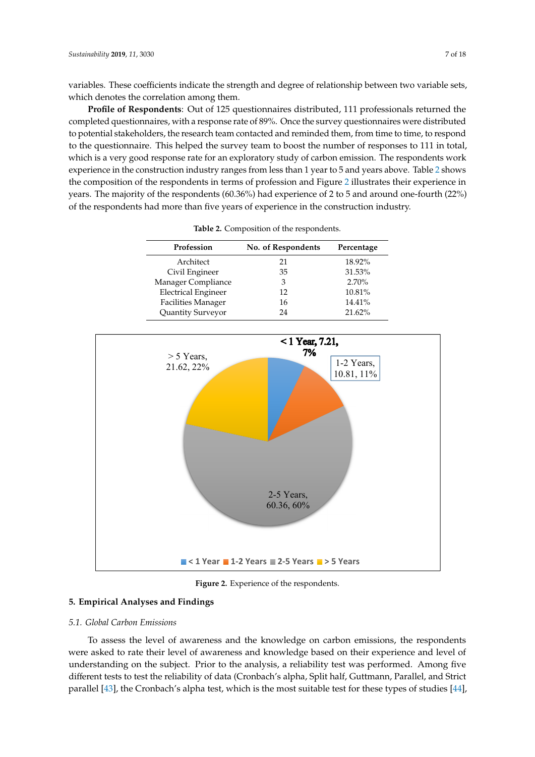variables. These coefficients indicate the strength and degree of relationship between two variable sets, which denotes the correlation among them. ordinal variables. These coefficients indicate the strength and degree of relationship between two variables. These coefficients indicate the strength and degr **Profile of Respondents**: Out of 125 questionnaires distributed, 111 professionals returned the

**Profile of Respondents**: Out of 125 questionnaires distributed, 111 professionals returned the completed questionnaires, with a response rate of 89%. Once the survey questionnaires were distributed to potential state in the reminded them, from them, from them, from them, from them, from them, from them, from them, f to potential stakeholders, the research team contacted and reminded them, from time to time, to respond to the number of responses to the questionnaire. This helped the survey team to boost the number of responses to 111 in total, which is a very good response rate for an exploratory study of carbon emission. The respondents work experience in the construction industry ranges from less than 1 year to 5 and years above. Table [2](#page-6-0) shows the response of the response of the response of profession and Figure 2 shows the response of profession and Figure 2 the composition of the respondents in terms of profession and Figure [2](#page-6-1) illustrates their experience in  $\frac{1}{2}$ years. The majority of the respondents  $(60.36\%)$  had experience of 2 to 5 and around one-fourth  $(22\%)$ of the respondents had more than five years of experience in the construction industry. rione or responsents. Our or 125 questionnaires abandated, 111 professionals returned are

<span id="page-6-0"></span>

| Profession                 | No. of Respondents | Percentage |
|----------------------------|--------------------|------------|
| Architect                  | 21                 | 18.92%     |
| Civil Engineer             | 35                 | 31.53%     |
| Manager Compliance         | 3                  | $2.70\%$   |
| <b>Electrical Engineer</b> | 12                 | 10.81%     |
| <b>Facilities Manager</b>  | 16                 | 14.41%     |
| Quantity Surveyor          | 24                 | 21.62%     |

**Table 2.** Composition of the respondents. **Table 2.** Composition of the respondents.

<span id="page-6-1"></span>

**Figure 2.** Experience of the respondents. **Figure 2.** Experience of the respondents.

# **5. Empirical Analyses and Findings**

### *5.1. Global Carbon Emissions*

To assess the level of awareness and the knowledge on carbon emissions, the respondents were asked to rate their level of awareness and knowledge based on their experience and level of understanding on the subject. Prior to the analysis, a reliability test was performed. Among five different tests to test the reliability of data (Cronbach's alpha, Split half, Guttmann, Parallel, and Strict parallel [\[43\]](#page-16-18), the Cronbach's alpha test, which is the most suitable test for these types of studies [\[44\]](#page-16-20),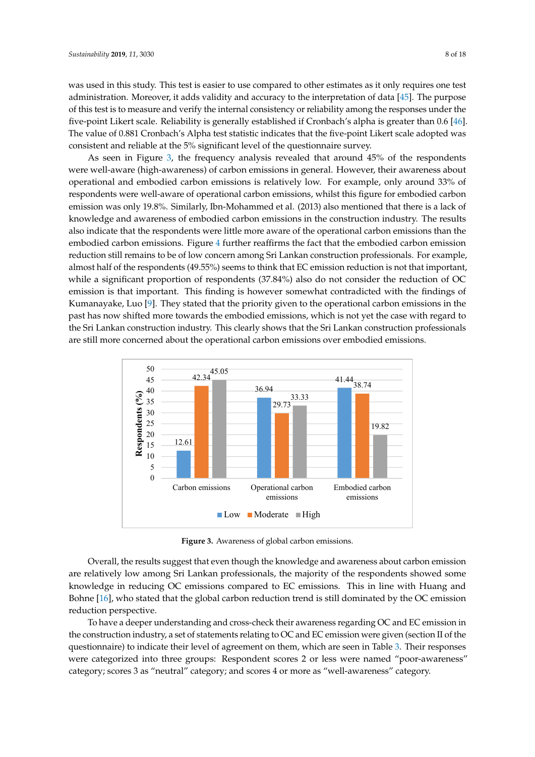was used in this study. This test is easier to use compared to other estimates as it only requires one test administration. Moreover, it adds validity and accuracy to the interpretation of data [\[45\]](#page-16-21). The purpose of this test is to measure and verify the internal consistency or reliability among the responses under the five-point Likert scale. Reliability is generally established if Cronbach's alpha is greater than 0.6 [\[46\]](#page-16-22). The value of 0.881 Cronbach's Alpha test statistic indicates that the five-point Likert scale adopted was consistent and reliable at the 5% significant level of the questionnaire survey.

As seen in Figure [3,](#page-7-0) the frequency analysis revealed that around 45% of the respondents were well-aware (high-awareness) of carbon emissions in general. However, their awareness about **5. Empirical Analyses and Findings** operational and embodied carbon emissions is relatively low. For example, only around 33% of respondents were well-aware of operational carbon emissions, whilst this figure for embodied carbon *5.1. Global Carbon Emissions*  emission was only 19.8%. Similarly, Ibn-Mohammed et al. (2013) also mentioned that there is a lack of knowledge and awareness of embodied carbon emissions in the construction industry. The results also indicate that the respondents were little more aware of the operational carbon emissions than the embodied carbon emissions. Figure [4](#page-8-0) further reaffirms the fact that the embodied carbon emission reduction still remains to be of low concern among Sri Lankan construction professionals. For example, almost half of the respondents (49.55%) seems to think that EC emission reduction is not that important, while a significant proportion of respondents (37.84%) also do not consider the reduction of OC emission is that important. This finding is however somewhat contradicted with the findings of Kumanayake, Luo [\[9\]](#page-15-8). They stated that the priority given to the operational carbon emissions in the past has now shifted more towards the embodied emissions, which is not yet the case with regard to the Sri Lankan construction industry. This clearly shows that the Sri Lankan construction professionals are still more concerned about the operational carbon emissions over embodied emissions.

<span id="page-7-0"></span>

**Figure 3.** Awareness of global carbon emissions.

**Overall, the results suggest that even though the knowledge and awareness about carbon emission** are relatively low among Sri Lankan professionals, the majority of the respondents showed some knowledge in reducing OC emissions compared to EC emissions. This in line with Huang and Bohne  $[16]$ , who stated that the global carbon reduction trend is still dominated by the OC emission reduction perspective. reduction perspective.

To have a deeper understanding and cross-check their awareness regarding OC and EC emission in the construction industry, a set of statements relating to OC and EC emission were given (section II of the questionnaire) to indicate their level of agreement on them, which are seen in Table [3.](#page-8-1) Their responses were categorized into three groups: Respondent scores 2 or less were named "poor-awareness" category; scores 3 as "neutral" category; and scores 4 or more as "well-awareness" category.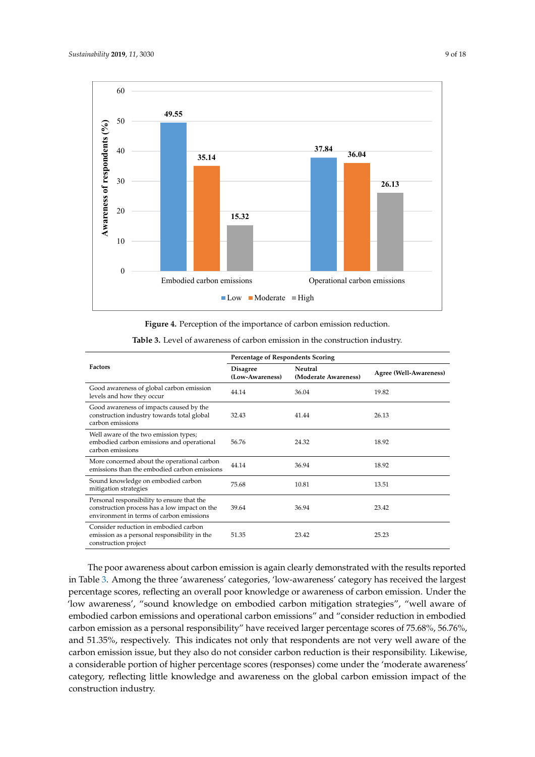<span id="page-8-0"></span>

**Figure 4.** Perception of the importance of carbon emission reduction. **Figure 4.** Perception of the importance of carbon emission reduction.

|                                                                                                                                        | <b>Percentage of Respondents Scoring</b> |                                 |                        |  |
|----------------------------------------------------------------------------------------------------------------------------------------|------------------------------------------|---------------------------------|------------------------|--|
| <b>Factors</b>                                                                                                                         | <b>Disagree</b><br>(Low-Awareness)       | Neutral<br>(Moderate Awareness) | Agree (Well-Awareness) |  |
| Good awareness of global carbon emission<br>levels and how they occur                                                                  | 44.14                                    | 36.04                           | 19.82                  |  |
| Good awareness of impacts caused by the<br>construction industry towards total global<br>carbon emissions                              | 32.43                                    | 41.44                           | 26.13                  |  |
| Well aware of the two emission types;<br>embodied carbon emissions and operational<br>carbon emissions                                 | 56.76                                    | 24.32                           | 18.92                  |  |
| More concerned about the operational carbon<br>emissions than the embodied carbon emissions                                            | 44.14                                    | 36.94                           | 18.92                  |  |
| Sound knowledge on embodied carbon<br>mitigation strategies                                                                            | 75.68                                    | 10.81                           | 13.51                  |  |
| Personal responsibility to ensure that the<br>construction process has a low impact on the<br>environment in terms of carbon emissions | 39.64                                    | 36.94                           | 23.42                  |  |
| Consider reduction in embodied carbon<br>emission as a personal responsibility in the<br>construction project                          | 51.35                                    | 23.42                           | 25.23                  |  |

<span id="page-8-1"></span>**Table 3.** Level of awareness of carbon emission in the construction industry.

than the embodied carbon embodied carbon emissions 44.14 36.94.14 36.94.14 36.92.14 36.92.14 36.94 18.92.14 36<br>Protestant carbon emissions 44.14 36.94.14 36.92.14 36.92.14 36.92.14 36.92.14 36.92.14 36.92.14 36.92.14 36.9 The poor awareness about carbon emission is again clearly demonstrated with the results reported in Table 3. Among the three 'awareness' categories, 'low-awareness' category has received the largest percentage scores, reflecting an overall poor knowledge or awareness of carbon emission. Under the 'low awareness', "sound knowledge on embodied carbon mitigation strategies", "well aware of embodied carbon emissions and operational carbon emissions" and "consider reduction in embodied personal responsibility in the construction project 51.35 23.42 25.23 carbon emission as a personal responsibility" have received larger percentage scores of 75.68%, 56.76%, carbon emission issue, but they also do not consider carbon reduction is their responsibility. Likewise, a considerable portion of higher percentage scores (responses) come under the 'moderate awareness' category, reflecting little knowledge and awareness on the global carbon emission impact of the and 51.35%, respectively. This indicates not only that respondents are not very well aware of the construction industry.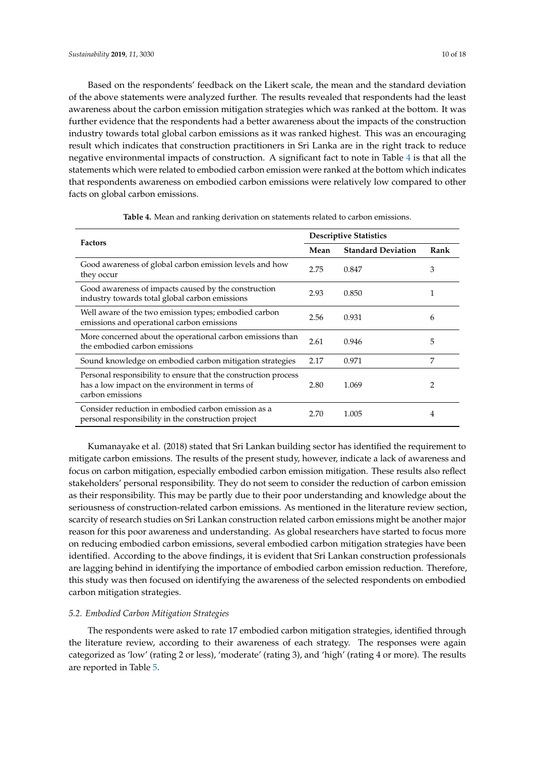Based on the respondents' feedback on the Likert scale, the mean and the standard deviation of the above statements were analyzed further. The results revealed that respondents had the least awareness about the carbon emission mitigation strategies which was ranked at the bottom. It was further evidence that the respondents had a better awareness about the impacts of the construction industry towards total global carbon emissions as it was ranked highest. This was an encouraging result which indicates that construction practitioners in Sri Lanka are in the right track to reduce negative environmental impacts of construction. A significant fact to note in Table [4](#page-9-0) is that all the statements which were related to embodied carbon emission were ranked at the bottom which indicates that respondents awareness on embodied carbon emissions were relatively low compared to other facts on global carbon emissions.

<span id="page-9-0"></span>

| <b>Factors</b>                                                                                                                         |      | <b>Descriptive Statistics</b> |      |  |  |
|----------------------------------------------------------------------------------------------------------------------------------------|------|-------------------------------|------|--|--|
|                                                                                                                                        |      | <b>Standard Deviation</b>     | Rank |  |  |
| Good awareness of global carbon emission levels and how<br>they occur                                                                  | 2.75 | 0.847                         | 3    |  |  |
| Good awareness of impacts caused by the construction<br>industry towards total global carbon emissions                                 | 2.93 | 0.850                         | 1    |  |  |
| Well aware of the two emission types; embodied carbon<br>emissions and operational carbon emissions                                    | 2.56 | 0.931                         | 6    |  |  |
| More concerned about the operational carbon emissions than<br>the embodied carbon emissions                                            | 2.61 | 0.946                         | 5    |  |  |
| Sound knowledge on embodied carbon mitigation strategies                                                                               | 2.17 | 0.971                         | 7    |  |  |
| Personal responsibility to ensure that the construction process<br>has a low impact on the environment in terms of<br>carbon emissions | 2.80 | 1.069                         | 2    |  |  |
| Consider reduction in embodied carbon emission as a<br>personal responsibility in the construction project                             | 2.70 | 1.005                         | 4    |  |  |

**Table 4.** Mean and ranking derivation on statements related to carbon emissions.

Kumanayake et al. (2018) stated that Sri Lankan building sector has identified the requirement to mitigate carbon emissions. The results of the present study, however, indicate a lack of awareness and focus on carbon mitigation, especially embodied carbon emission mitigation. These results also reflect stakeholders' personal responsibility. They do not seem to consider the reduction of carbon emission as their responsibility. This may be partly due to their poor understanding and knowledge about the seriousness of construction-related carbon emissions. As mentioned in the literature review section, scarcity of research studies on Sri Lankan construction related carbon emissions might be another major reason for this poor awareness and understanding. As global researchers have started to focus more on reducing embodied carbon emissions, several embodied carbon mitigation strategies have been identified. According to the above findings, it is evident that Sri Lankan construction professionals are lagging behind in identifying the importance of embodied carbon emission reduction. Therefore, this study was then focused on identifying the awareness of the selected respondents on embodied carbon mitigation strategies.

## *5.2. Embodied Carbon Mitigation Strategies*

The respondents were asked to rate 17 embodied carbon mitigation strategies, identified through the literature review, according to their awareness of each strategy. The responses were again categorized as 'low' (rating 2 or less), 'moderate' (rating 3), and 'high' (rating 4 or more). The results are reported in Table [5.](#page-10-0)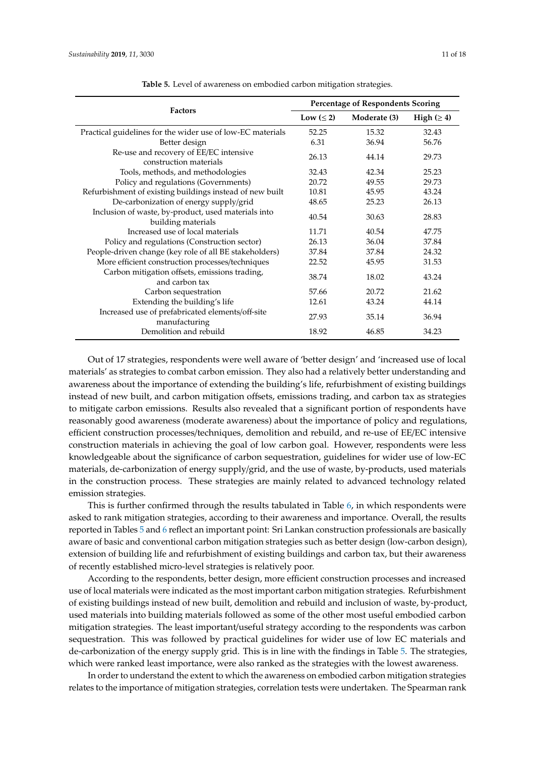<span id="page-10-0"></span>

| <b>Factors</b>                                                            | <b>Percentage of Respondents Scoring</b> |              |                 |  |
|---------------------------------------------------------------------------|------------------------------------------|--------------|-----------------|--|
|                                                                           | Low $(\leq 2)$                           | Moderate (3) | High $(\geq 4)$ |  |
| Practical guidelines for the wider use of low-EC materials                | 52.25                                    | 15.32        | 32.43           |  |
| Better design                                                             | 6.31                                     | 36.94        | 56.76           |  |
| Re-use and recovery of EE/EC intensive<br>construction materials          | 26.13                                    | 44.14        | 29.73           |  |
| Tools, methods, and methodologies                                         | 32.43                                    | 42.34        | 25.23           |  |
| Policy and regulations (Governments)                                      | 20.72                                    | 49.55        | 29.73           |  |
| Refurbishment of existing buildings instead of new built                  | 10.81                                    | 45.95        | 43.24           |  |
| De-carbonization of energy supply/grid                                    | 48.65                                    | 25.23        | 26.13           |  |
| Inclusion of waste, by-product, used materials into<br>building materials | 40.54                                    | 30.63        | 28.83           |  |
| Increased use of local materials                                          | 11.71                                    | 40.54        | 47.75           |  |
| Policy and regulations (Construction sector)                              | 26.13                                    | 36.04        | 37.84           |  |
| People-driven change (key role of all BE stakeholders)                    | 37.84                                    | 37.84        | 24.32           |  |
| More efficient construction processes/techniques                          | 22.52                                    | 45.95        | 31.53           |  |
| Carbon mitigation offsets, emissions trading,<br>and carbon tax           | 38.74                                    | 18.02        | 43.24           |  |
| Carbon sequestration                                                      | 57.66                                    | 20.72        | 21.62           |  |
| Extending the building's life                                             | 12.61                                    | 43.24        | 44.14           |  |
| Increased use of prefabricated elements/off-site<br>manufacturing         | 27.93                                    | 35.14        | 36.94           |  |
| Demolition and rebuild                                                    | 18.92                                    | 46.85        | 34.23           |  |

**Table 5.** Level of awareness on embodied carbon mitigation strategies.

Out of 17 strategies, respondents were well aware of 'better design' and 'increased use of local materials' as strategies to combat carbon emission. They also had a relatively better understanding and awareness about the importance of extending the building's life, refurbishment of existing buildings instead of new built, and carbon mitigation offsets, emissions trading, and carbon tax as strategies to mitigate carbon emissions. Results also revealed that a significant portion of respondents have reasonably good awareness (moderate awareness) about the importance of policy and regulations, efficient construction processes/techniques, demolition and rebuild, and re-use of EE/EC intensive construction materials in achieving the goal of low carbon goal. However, respondents were less knowledgeable about the significance of carbon sequestration, guidelines for wider use of low-EC materials, de-carbonization of energy supply/grid, and the use of waste, by-products, used materials in the construction process. These strategies are mainly related to advanced technology related emission strategies.

This is further confirmed through the results tabulated in Table [6,](#page-11-0) in which respondents were asked to rank mitigation strategies, according to their awareness and importance. Overall, the results reported in Tables [5](#page-10-0) and [6](#page-11-0) reflect an important point: Sri Lankan construction professionals are basically aware of basic and conventional carbon mitigation strategies such as better design (low-carbon design), extension of building life and refurbishment of existing buildings and carbon tax, but their awareness of recently established micro-level strategies is relatively poor.

According to the respondents, better design, more efficient construction processes and increased use of local materials were indicated as the most important carbon mitigation strategies. Refurbishment of existing buildings instead of new built, demolition and rebuild and inclusion of waste, by-product, used materials into building materials followed as some of the other most useful embodied carbon mitigation strategies. The least important/useful strategy according to the respondents was carbon sequestration. This was followed by practical guidelines for wider use of low EC materials and de-carbonization of the energy supply grid. This is in line with the findings in Table [5.](#page-10-0) The strategies, which were ranked least importance, were also ranked as the strategies with the lowest awareness.

In order to understand the extent to which the awareness on embodied carbon mitigation strategies relates to the importance of mitigation strategies, correlation tests were undertaken. The Spearman rank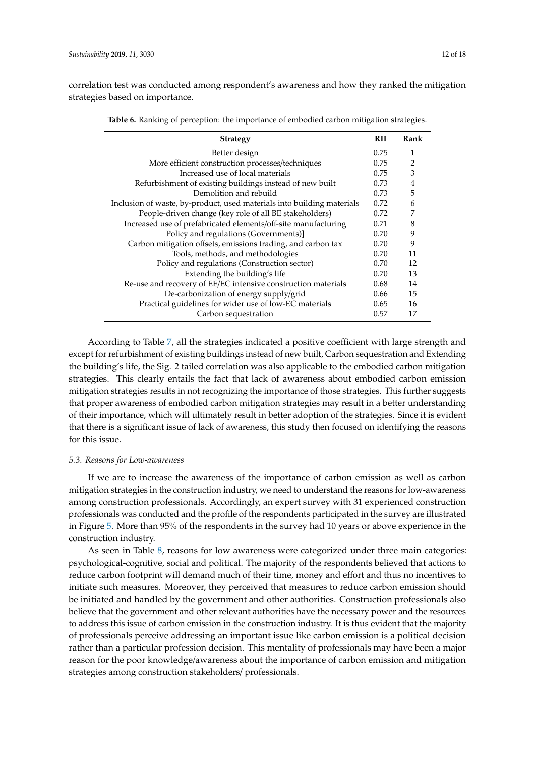<span id="page-11-0"></span>correlation test was conducted among respondent's awareness and how they ranked the mitigation strategies based on importance.

| <b>Strategy</b>                                                        | <b>RII</b> | Rank           |
|------------------------------------------------------------------------|------------|----------------|
| Better design                                                          | 0.75       | 1              |
| More efficient construction processes/techniques                       | 0.75       | $\overline{2}$ |
| Increased use of local materials                                       | 0.75       | 3              |
| Refurbishment of existing buildings instead of new built               | 0.73       | 4              |
| Demolition and rebuild                                                 | 0.73       | 5              |
| Inclusion of waste, by-product, used materials into building materials | 0.72       | 6              |
| People-driven change (key role of all BE stakeholders)                 | 0.72       | 7              |
| Increased use of prefabricated elements/off-site manufacturing         | 0.71       | 8              |
| Policy and regulations (Governments)]                                  | 0.70       | 9              |
| Carbon mitigation offsets, emissions trading, and carbon tax           | 0.70       | 9              |
| Tools, methods, and methodologies                                      | 0.70       | 11             |
| Policy and regulations (Construction sector)                           | 0.70       | 12             |
| Extending the building's life                                          | 0.70       | 13             |
| Re-use and recovery of EE/EC intensive construction materials          |            | 14             |
| De-carbonization of energy supply/grid                                 | 0.66       | 15             |
| Practical guidelines for wider use of low-EC materials                 | 0.65       | 16             |
| Carbon sequestration                                                   | 0.57       | 17             |

**Table 6.** Ranking of perception: the importance of embodied carbon mitigation strategies.

According to Table [7,](#page-12-0) all the strategies indicated a positive coefficient with large strength and except for refurbishment of existing buildings instead of new built, Carbon sequestration and Extending the building's life, the Sig. 2 tailed correlation was also applicable to the embodied carbon mitigation strategies. This clearly entails the fact that lack of awareness about embodied carbon emission mitigation strategies results in not recognizing the importance of those strategies. This further suggests that proper awareness of embodied carbon mitigation strategies may result in a better understanding of their importance, which will ultimately result in better adoption of the strategies. Since it is evident that there is a significant issue of lack of awareness, this study then focused on identifying the reasons for this issue.

## *5.3. Reasons for Low-awareness*

If we are to increase the awareness of the importance of carbon emission as well as carbon mitigation strategies in the construction industry, we need to understand the reasons for low-awareness among construction professionals. Accordingly, an expert survey with 31 experienced construction professionals was conducted and the profile of the respondents participated in the survey are illustrated in Figure [5.](#page-12-1) More than 95% of the respondents in the survey had 10 years or above experience in the construction industry.

As seen in Table [8,](#page-13-0) reasons for low awareness were categorized under three main categories: psychological-cognitive, social and political. The majority of the respondents believed that actions to reduce carbon footprint will demand much of their time, money and effort and thus no incentives to initiate such measures. Moreover, they perceived that measures to reduce carbon emission should be initiated and handled by the government and other authorities. Construction professionals also believe that the government and other relevant authorities have the necessary power and the resources to address this issue of carbon emission in the construction industry. It is thus evident that the majority of professionals perceive addressing an important issue like carbon emission is a political decision rather than a particular profession decision. This mentality of professionals may have been a major reason for the poor knowledge/awareness about the importance of carbon emission and mitigation strategies among construction stakeholders/ professionals.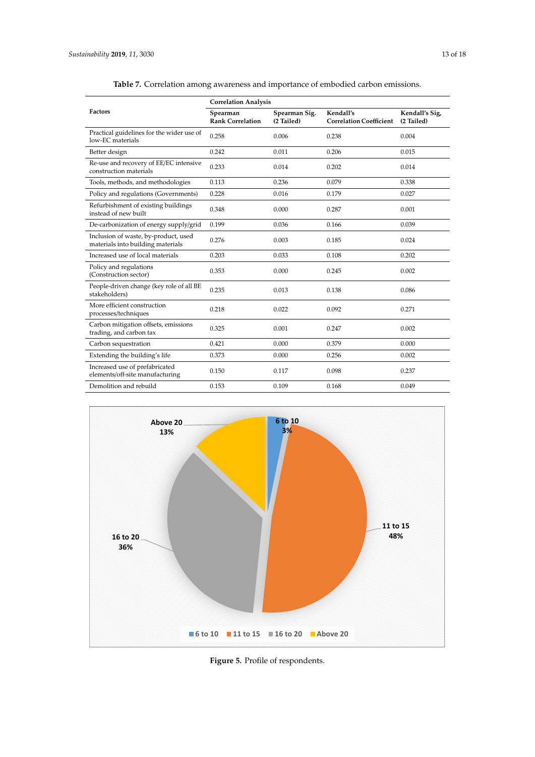|                                                                           | <b>Correlation Analysis</b>         |                             |                                             |                              |
|---------------------------------------------------------------------------|-------------------------------------|-----------------------------|---------------------------------------------|------------------------------|
| <b>Factors</b>                                                            | Spearman<br><b>Rank Correlation</b> | Spearman Sig.<br>(2 Tailed) | Kendall's<br><b>Correlation Coefficient</b> | Kendall's Sig,<br>(2 Tailed) |
| Practical guidelines for the wider use of<br>low-EC materials             | 0.258                               | 0.006                       | 0.238                                       | 0.004                        |
| Better design                                                             | 0.242                               | 0.011                       | 0.206                                       | 0.015                        |
| Re-use and recovery of EE/EC intensive<br>construction materials          | 0.233                               | 0.014                       | 0.202                                       | 0.014                        |
| Tools, methods, and methodologies                                         | 0.113                               | 0.236                       | 0.079                                       | 0.338                        |
| Policy and regulations (Governments)                                      | 0.228                               | 0.016                       | 0.179                                       | 0.027                        |
| Refurbishment of existing buildings<br>instead of new built               | 0.348                               | 0.000                       | 0.287                                       | 0.001                        |
| De-carbonization of energy supply/grid                                    | 0.199                               | 0.036                       | 0.166                                       | 0.039                        |
| Inclusion of waste, by-product, used<br>materials into building materials | 0.276                               | 0.003                       | 0.185                                       | 0.024                        |
| Increased use of local materials                                          | 0.203                               | 0.033                       | 0.108                                       | 0.202                        |
| Policy and regulations<br>(Construction sector)                           | 0.353                               | 0.000                       | 0.245                                       | 0.002                        |
| People-driven change (key role of all BE<br>stakeholders)                 | 0.235                               | 0.013                       | 0.138                                       | 0.086                        |
| More efficient construction<br>processes/techniques                       | 0.218                               | 0.022                       | 0.092                                       | 0.271                        |
| Carbon mitigation offsets, emissions<br>trading, and carbon tax           | 0.325                               | 0.001                       | 0.247                                       | 0.002                        |
| Carbon sequestration                                                      | 0.421                               | 0.000                       | 0.379                                       | 0.000                        |
| Extending the building's life                                             | 0.373                               | 0.000                       | 0.256                                       | 0.002                        |
| Increased use of prefabricated<br>elements/off-site manufacturing         | 0.150                               | 0.117                       | 0.098                                       | 0.237                        |
| Demolition and rebuild                                                    | 0.153                               | 0.109                       | 0.168                                       | 0.049                        |

<span id="page-12-0"></span>**Table 7.** Correlation among awareness and importance of embodied carbon emissions. Table 7. Correlation among awareness and importance of embodied carbon emissions.

<span id="page-12-1"></span>

**Figure 5.** Profile of respondents. **Figure 5.** Profile of respondents.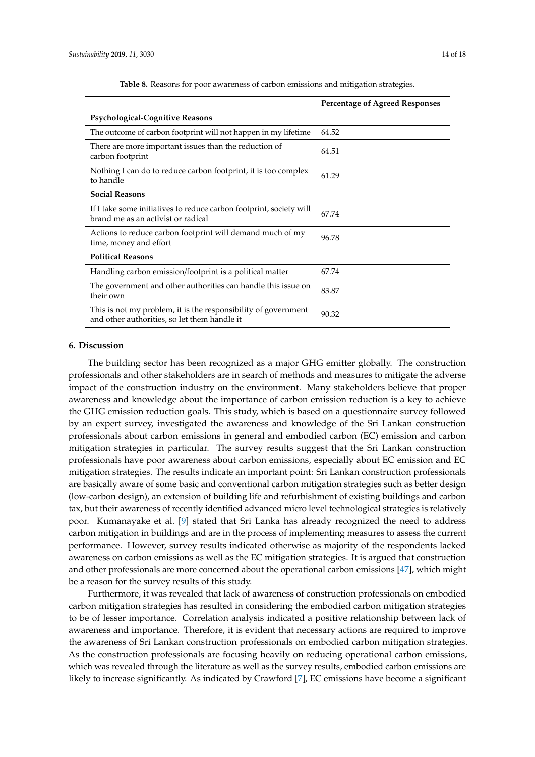<span id="page-13-0"></span>

|                                                                                                                | <b>Percentage of Agreed Responses</b> |
|----------------------------------------------------------------------------------------------------------------|---------------------------------------|
| <b>Psychological-Cognitive Reasons</b>                                                                         |                                       |
| The outcome of carbon footprint will not happen in my lifetime                                                 | 64.52                                 |
| There are more important issues than the reduction of<br>carbon footprint                                      | 64.51                                 |
| Nothing I can do to reduce carbon footprint, it is too complex<br>to handle                                    | 61.29                                 |
| <b>Social Reasons</b>                                                                                          |                                       |
| If I take some initiatives to reduce carbon footprint, society will<br>brand me as an activist or radical      | 67.74                                 |
| Actions to reduce carbon footprint will demand much of my<br>time, money and effort                            | 96.78                                 |
| <b>Political Reasons</b>                                                                                       |                                       |
| Handling carbon emission/footprint is a political matter                                                       | 67.74                                 |
| The government and other authorities can handle this issue on<br>their own                                     | 83.87                                 |
| This is not my problem, it is the responsibility of government<br>and other authorities, so let them handle it | 90.32                                 |

**Table 8.** Reasons for poor awareness of carbon emissions and mitigation strategies.

## **6. Discussion**

The building sector has been recognized as a major GHG emitter globally. The construction professionals and other stakeholders are in search of methods and measures to mitigate the adverse impact of the construction industry on the environment. Many stakeholders believe that proper awareness and knowledge about the importance of carbon emission reduction is a key to achieve the GHG emission reduction goals. This study, which is based on a questionnaire survey followed by an expert survey, investigated the awareness and knowledge of the Sri Lankan construction professionals about carbon emissions in general and embodied carbon (EC) emission and carbon mitigation strategies in particular. The survey results suggest that the Sri Lankan construction professionals have poor awareness about carbon emissions, especially about EC emission and EC mitigation strategies. The results indicate an important point: Sri Lankan construction professionals are basically aware of some basic and conventional carbon mitigation strategies such as better design (low-carbon design), an extension of building life and refurbishment of existing buildings and carbon tax, but their awareness of recently identified advanced micro level technological strategies is relatively poor. Kumanayake et al. [\[9\]](#page-15-8) stated that Sri Lanka has already recognized the need to address carbon mitigation in buildings and are in the process of implementing measures to assess the current performance. However, survey results indicated otherwise as majority of the respondents lacked awareness on carbon emissions as well as the EC mitigation strategies. It is argued that construction and other professionals are more concerned about the operational carbon emissions [\[47\]](#page-17-0), which might be a reason for the survey results of this study.

Furthermore, it was revealed that lack of awareness of construction professionals on embodied carbon mitigation strategies has resulted in considering the embodied carbon mitigation strategies to be of lesser importance. Correlation analysis indicated a positive relationship between lack of awareness and importance. Therefore, it is evident that necessary actions are required to improve the awareness of Sri Lankan construction professionals on embodied carbon mitigation strategies. As the construction professionals are focusing heavily on reducing operational carbon emissions, which was revealed through the literature as well as the survey results, embodied carbon emissions are likely to increase significantly. As indicated by Crawford [\[7\]](#page-15-6), EC emissions have become a significant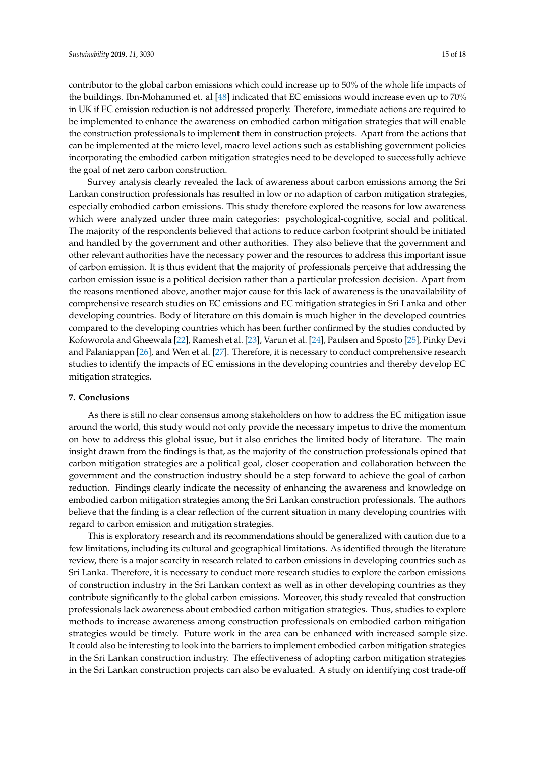contributor to the global carbon emissions which could increase up to 50% of the whole life impacts of the buildings. Ibn-Mohammed et. al [\[48\]](#page-17-1) indicated that EC emissions would increase even up to 70% in UK if EC emission reduction is not addressed properly. Therefore, immediate actions are required to be implemented to enhance the awareness on embodied carbon mitigation strategies that will enable the construction professionals to implement them in construction projects. Apart from the actions that can be implemented at the micro level, macro level actions such as establishing government policies incorporating the embodied carbon mitigation strategies need to be developed to successfully achieve the goal of net zero carbon construction.

Survey analysis clearly revealed the lack of awareness about carbon emissions among the Sri Lankan construction professionals has resulted in low or no adaption of carbon mitigation strategies, especially embodied carbon emissions. This study therefore explored the reasons for low awareness which were analyzed under three main categories: psychological-cognitive, social and political. The majority of the respondents believed that actions to reduce carbon footprint should be initiated and handled by the government and other authorities. They also believe that the government and other relevant authorities have the necessary power and the resources to address this important issue of carbon emission. It is thus evident that the majority of professionals perceive that addressing the carbon emission issue is a political decision rather than a particular profession decision. Apart from the reasons mentioned above, another major cause for this lack of awareness is the unavailability of comprehensive research studies on EC emissions and EC mitigation strategies in Sri Lanka and other developing countries. Body of literature on this domain is much higher in the developed countries compared to the developing countries which has been further confirmed by the studies conducted by Kofoworola and Gheewala [\[22\]](#page-16-1), Ramesh et al. [\[23\]](#page-16-2), Varun et al. [\[24\]](#page-16-3), Paulsen and Sposto [\[25\]](#page-16-4), Pinky Devi and Palaniappan [\[26\]](#page-16-5), and Wen et al. [\[27\]](#page-16-6). Therefore, it is necessary to conduct comprehensive research studies to identify the impacts of EC emissions in the developing countries and thereby develop EC mitigation strategies.

#### **7. Conclusions**

As there is still no clear consensus among stakeholders on how to address the EC mitigation issue around the world, this study would not only provide the necessary impetus to drive the momentum on how to address this global issue, but it also enriches the limited body of literature. The main insight drawn from the findings is that, as the majority of the construction professionals opined that carbon mitigation strategies are a political goal, closer cooperation and collaboration between the government and the construction industry should be a step forward to achieve the goal of carbon reduction. Findings clearly indicate the necessity of enhancing the awareness and knowledge on embodied carbon mitigation strategies among the Sri Lankan construction professionals. The authors believe that the finding is a clear reflection of the current situation in many developing countries with regard to carbon emission and mitigation strategies.

This is exploratory research and its recommendations should be generalized with caution due to a few limitations, including its cultural and geographical limitations. As identified through the literature review, there is a major scarcity in research related to carbon emissions in developing countries such as Sri Lanka. Therefore, it is necessary to conduct more research studies to explore the carbon emissions of construction industry in the Sri Lankan context as well as in other developing countries as they contribute significantly to the global carbon emissions. Moreover, this study revealed that construction professionals lack awareness about embodied carbon mitigation strategies. Thus, studies to explore methods to increase awareness among construction professionals on embodied carbon mitigation strategies would be timely. Future work in the area can be enhanced with increased sample size. It could also be interesting to look into the barriers to implement embodied carbon mitigation strategies in the Sri Lankan construction industry. The effectiveness of adopting carbon mitigation strategies in the Sri Lankan construction projects can also be evaluated. A study on identifying cost trade-off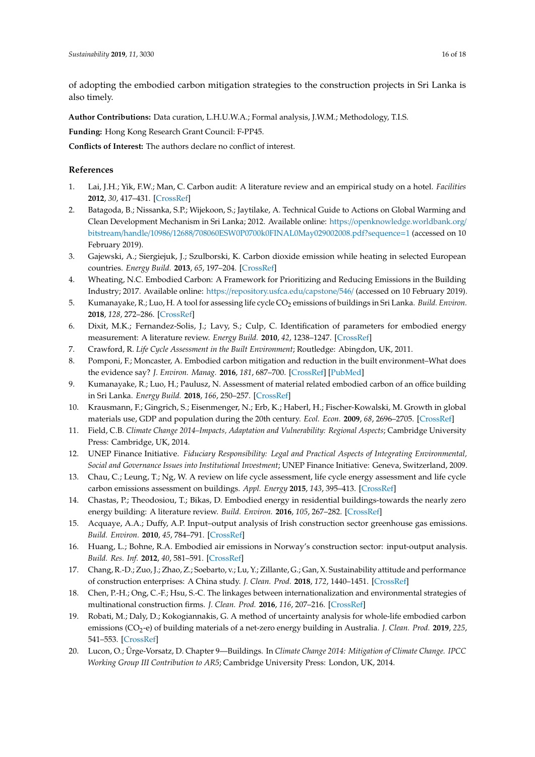of adopting the embodied carbon mitigation strategies to the construction projects in Sri Lanka is also timely.

**Author Contributions:** Data curation, L.H.U.W.A.; Formal analysis, J.W.M.; Methodology, T.I.S.

**Funding:** Hong Kong Research Grant Council: F-PP45.

**Conflicts of Interest:** The authors declare no conflict of interest.

# **References**

- <span id="page-15-0"></span>1. Lai, J.H.; Yik, F.W.; Man, C. Carbon audit: A literature review and an empirical study on a hotel. *Facilities* **2012**, *30*, 417–431. [\[CrossRef\]](http://dx.doi.org/10.1108/02632771211235233)
- <span id="page-15-1"></span>2. Batagoda, B.; Nissanka, S.P.; Wijekoon, S.; Jaytilake, A. Technical Guide to Actions on Global Warming and Clean Development Mechanism in Sri Lanka; 2012. Available online: https://[openknowledge.worldbank.org](https://openknowledge.worldbank.org/bitstream/handle/10986/12688/708060ESW0P0700k0FINAL0May029002008.pdf?sequence=1)/ bitstream/handle/10986/12688/[708060ESW0P0700k0FINAL0May029002008.pdf?sequence](https://openknowledge.worldbank.org/bitstream/handle/10986/12688/708060ESW0P0700k0FINAL0May029002008.pdf?sequence=1)=1 (accessed on 10 February 2019).
- <span id="page-15-2"></span>3. Gajewski, A.; Siergiejuk, J.; Szulborski, K. Carbon dioxide emission while heating in selected European countries. *Energy Build.* **2013**, *65*, 197–204. [\[CrossRef\]](http://dx.doi.org/10.1016/j.enbuild.2013.05.042)
- <span id="page-15-3"></span>4. Wheating, N.C. Embodied Carbon: A Framework for Prioritizing and Reducing Emissions in the Building Industry; 2017. Available online: https://[repository.usfca.edu](https://repository.usfca.edu/capstone/546/)/capstone/546/ (accessed on 10 February 2019).
- <span id="page-15-4"></span>5. Kumanayake, R.; Luo, H. A tool for assessing life cycle CO<sub>2</sub> emissions of buildings in Sri Lanka. *Build. Environ.* **2018**, *128*, 272–286. [\[CrossRef\]](http://dx.doi.org/10.1016/j.buildenv.2017.11.042)
- <span id="page-15-5"></span>6. Dixit, M.K.; Fernandez-Solis, J.; Lavy, S.; Culp, C. Identification of parameters for embodied energy measurement: A literature review. *Energy Build.* **2010**, *42*, 1238–1247. [\[CrossRef\]](http://dx.doi.org/10.1016/j.enbuild.2010.02.016)
- <span id="page-15-6"></span>7. Crawford, R. *Life Cycle Assessment in the Built Environment*; Routledge: Abingdon, UK, 2011.
- <span id="page-15-7"></span>8. Pomponi, F.; Moncaster, A. Embodied carbon mitigation and reduction in the built environment–What does the evidence say? *J. Environ. Manag.* **2016**, *181*, 687–700. [\[CrossRef\]](http://dx.doi.org/10.1016/j.jenvman.2016.08.036) [\[PubMed\]](http://www.ncbi.nlm.nih.gov/pubmed/27558830)
- <span id="page-15-8"></span>9. Kumanayake, R.; Luo, H.; Paulusz, N. Assessment of material related embodied carbon of an office building in Sri Lanka. *Energy Build.* **2018**, *166*, 250–257. [\[CrossRef\]](http://dx.doi.org/10.1016/j.enbuild.2018.01.065)
- <span id="page-15-9"></span>10. Krausmann, F.; Gingrich, S.; Eisenmenger, N.; Erb, K.; Haberl, H.; Fischer-Kowalski, M. Growth in global materials use, GDP and population during the 20th century. *Ecol. Econ.* **2009**, *68*, 2696–2705. [\[CrossRef\]](http://dx.doi.org/10.1016/j.ecolecon.2009.05.007)
- <span id="page-15-10"></span>11. Field, C.B. *Climate Change 2014–Impacts, Adaptation and Vulnerability: Regional Aspects*; Cambridge University Press: Cambridge, UK, 2014.
- <span id="page-15-11"></span>12. UNEP Finance Initiative. *Fiduciary Responsibility: Legal and Practical Aspects of Integrating Environmental, Social and Governance Issues into Institutional Investment*; UNEP Finance Initiative: Geneva, Switzerland, 2009.
- <span id="page-15-12"></span>13. Chau, C.; Leung, T.; Ng, W. A review on life cycle assessment, life cycle energy assessment and life cycle carbon emissions assessment on buildings. *Appl. Energy* **2015**, *143*, 395–413. [\[CrossRef\]](http://dx.doi.org/10.1016/j.apenergy.2015.01.023)
- <span id="page-15-13"></span>14. Chastas, P.; Theodosiou, T.; Bikas, D. Embodied energy in residential buildings-towards the nearly zero energy building: A literature review. *Build. Environ.* **2016**, *105*, 267–282. [\[CrossRef\]](http://dx.doi.org/10.1016/j.buildenv.2016.05.040)
- <span id="page-15-14"></span>15. Acquaye, A.A.; Duffy, A.P. Input–output analysis of Irish construction sector greenhouse gas emissions. *Build. Environ.* **2010**, *45*, 784–791. [\[CrossRef\]](http://dx.doi.org/10.1016/j.buildenv.2009.08.022)
- <span id="page-15-15"></span>16. Huang, L.; Bohne, R.A. Embodied air emissions in Norway's construction sector: input-output analysis. *Build. Res. Inf.* **2012**, *40*, 581–591. [\[CrossRef\]](http://dx.doi.org/10.1080/09613218.2012.711993)
- <span id="page-15-16"></span>17. Chang, R.-D.; Zuo, J.; Zhao, Z.; Soebarto, v.; Lu, Y.; Zillante, G.; Gan, X. Sustainability attitude and performance of construction enterprises: A China study. *J. Clean. Prod.* **2018**, *172*, 1440–1451. [\[CrossRef\]](http://dx.doi.org/10.1016/j.jclepro.2017.10.277)
- <span id="page-15-17"></span>18. Chen, P.-H.; Ong, C.-F.; Hsu, S.-C. The linkages between internationalization and environmental strategies of multinational construction firms. *J. Clean. Prod.* **2016**, *116*, 207–216. [\[CrossRef\]](http://dx.doi.org/10.1016/j.jclepro.2015.12.105)
- <span id="page-15-18"></span>19. Robati, M.; Daly, D.; Kokogiannakis, G. A method of uncertainty analysis for whole-life embodied carbon emissions (CO<sup>2</sup> -e) of building materials of a net-zero energy building in Australia. *J. Clean. Prod.* **2019**, *225*, 541–553. [\[CrossRef\]](http://dx.doi.org/10.1016/j.jclepro.2019.03.339)
- <span id="page-15-19"></span>20. Lucon, O.; Ürge-Vorsatz, D. Chapter 9—Buildings. In *Climate Change 2014: Mitigation of Climate Change. IPCC Working Group III Contribution to AR5*; Cambridge University Press: London, UK, 2014.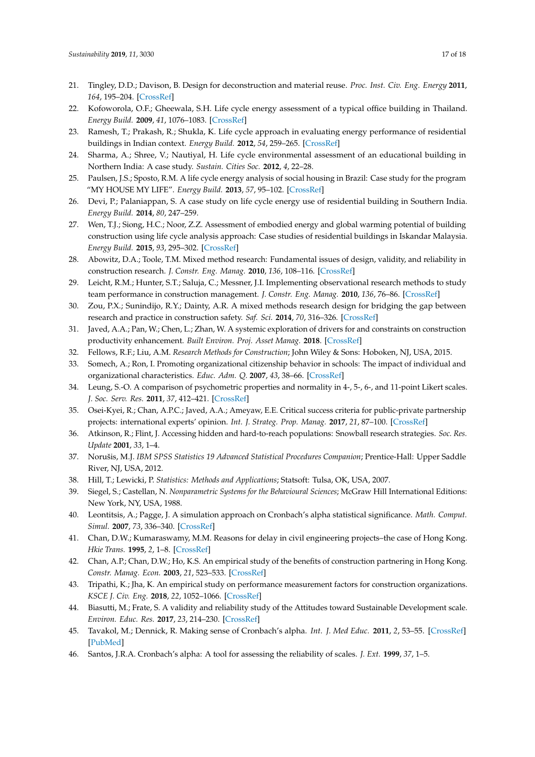- <span id="page-16-0"></span>21. Tingley, D.D.; Davison, B. Design for deconstruction and material reuse. *Proc. Inst. Civ. Eng. Energy* **2011**, *164*, 195–204. [\[CrossRef\]](http://dx.doi.org/10.1680/ener.2011.164.4.195)
- <span id="page-16-1"></span>22. Kofoworola, O.F.; Gheewala, S.H. Life cycle energy assessment of a typical office building in Thailand. *Energy Build.* **2009**, *41*, 1076–1083. [\[CrossRef\]](http://dx.doi.org/10.1016/j.enbuild.2009.06.002)
- <span id="page-16-2"></span>23. Ramesh, T.; Prakash, R.; Shukla, K. Life cycle approach in evaluating energy performance of residential buildings in Indian context. *Energy Build.* **2012**, *54*, 259–265. [\[CrossRef\]](http://dx.doi.org/10.1016/j.enbuild.2012.07.016)
- <span id="page-16-3"></span>24. Sharma, A.; Shree, V.; Nautiyal, H. Life cycle environmental assessment of an educational building in Northern India: A case study. *Sustain. Cities Soc.* **2012**, *4*, 22–28.
- <span id="page-16-4"></span>25. Paulsen, J.S.; Sposto, R.M. A life cycle energy analysis of social housing in Brazil: Case study for the program "MY HOUSE MY LIFE". *Energy Build.* **2013**, *57*, 95–102. [\[CrossRef\]](http://dx.doi.org/10.1016/j.enbuild.2012.11.014)
- <span id="page-16-5"></span>26. Devi, P.; Palaniappan, S. A case study on life cycle energy use of residential building in Southern India. *Energy Build.* **2014**, *80*, 247–259.
- <span id="page-16-6"></span>27. Wen, T.J.; Siong, H.C.; Noor, Z.Z. Assessment of embodied energy and global warming potential of building construction using life cycle analysis approach: Case studies of residential buildings in Iskandar Malaysia. *Energy Build.* **2015**, *93*, 295–302. [\[CrossRef\]](http://dx.doi.org/10.1016/j.enbuild.2014.12.002)
- <span id="page-16-7"></span>28. Abowitz, D.A.; Toole, T.M. Mixed method research: Fundamental issues of design, validity, and reliability in construction research. *J. Constr. Eng. Manag.* **2010**, *136*, 108–116. [\[CrossRef\]](http://dx.doi.org/10.1061/(ASCE)CO.1943-7862.0000026)
- 29. Leicht, R.M.; Hunter, S.T.; Saluja, C.; Messner, J.I. Implementing observational research methods to study team performance in construction management. *J. Constr. Eng. Manag.* **2010**, *136*, 76–86. [\[CrossRef\]](http://dx.doi.org/10.1061/(ASCE)CO.1943-7862.0000080)
- 30. Zou, P.X.; Sunindijo, R.Y.; Dainty, A.R. A mixed methods research design for bridging the gap between research and practice in construction safety. *Saf. Sci.* **2014**, *70*, 316–326. [\[CrossRef\]](http://dx.doi.org/10.1016/j.ssci.2014.07.005)
- <span id="page-16-8"></span>31. Javed, A.A.; Pan, W.; Chen, L.; Zhan, W. A systemic exploration of drivers for and constraints on construction productivity enhancement. *Built Environ. Proj. Asset Manag.* **2018**. [\[CrossRef\]](http://dx.doi.org/10.1108/BEPAM-10-2017-0099)
- <span id="page-16-9"></span>32. Fellows, R.F.; Liu, A.M. *Research Methods for Construction*; John Wiley & Sons: Hoboken, NJ, USA, 2015.
- <span id="page-16-10"></span>33. Somech, A.; Ron, I. Promoting organizational citizenship behavior in schools: The impact of individual and organizational characteristics. *Educ. Adm. Q.* **2007**, *43*, 38–66. [\[CrossRef\]](http://dx.doi.org/10.1177/0013161X06291254)
- 34. Leung, S.-O. A comparison of psychometric properties and normality in 4-, 5-, 6-, and 11-point Likert scales. *J. Soc. Serv. Res.* **2011**, *37*, 412–421. [\[CrossRef\]](http://dx.doi.org/10.1080/01488376.2011.580697)
- <span id="page-16-11"></span>35. Osei-Kyei, R.; Chan, A.P.C.; Javed, A.A.; Ameyaw, E.E. Critical success criteria for public-private partnership projects: international experts' opinion. *Int. J. Strateg. Prop. Manag.* **2017**, *21*, 87–100. [\[CrossRef\]](http://dx.doi.org/10.3846/1648715X.2016.1246388)
- <span id="page-16-12"></span>36. Atkinson, R.; Flint, J. Accessing hidden and hard-to-reach populations: Snowball research strategies. *Soc. Res. Update* **2001**, *33*, 1–4.
- <span id="page-16-13"></span>37. Norušis, M.J. *IBM SPSS Statistics 19 Advanced Statistical Procedures Companion*; Prentice-Hall: Upper Saddle River, NJ, USA, 2012.
- <span id="page-16-14"></span>38. Hill, T.; Lewicki, P. *Statistics: Methods and Applications*; Statsoft: Tulsa, OK, USA, 2007.
- <span id="page-16-15"></span>39. Siegel, S.; Castellan, N. *Nonparametric Systems for the Behavioural Sciences*; McGraw Hill International Editions: New York, NY, USA, 1988.
- <span id="page-16-16"></span>40. Leontitsis, A.; Pagge, J. A simulation approach on Cronbach's alpha statistical significance. *Math. Comput. Simul.* **2007**, *73*, 336–340. [\[CrossRef\]](http://dx.doi.org/10.1016/j.matcom.2006.08.001)
- <span id="page-16-17"></span>41. Chan, D.W.; Kumaraswamy, M.M. Reasons for delay in civil engineering projects–the case of Hong Kong. *Hkie Trans.* **1995**, *2*, 1–8. [\[CrossRef\]](http://dx.doi.org/10.1080/1023697X.1995.10667685)
- <span id="page-16-19"></span>42. Chan, A.P.; Chan, D.W.; Ho, K.S. An empirical study of the benefits of construction partnering in Hong Kong. *Constr. Manag. Econ.* **2003**, *21*, 523–533. [\[CrossRef\]](http://dx.doi.org/10.1080/0144619032000056162)
- <span id="page-16-18"></span>43. Tripathi, K.; Jha, K. An empirical study on performance measurement factors for construction organizations. *KSCE J. Civ. Eng.* **2018**, *22*, 1052–1066. [\[CrossRef\]](http://dx.doi.org/10.1007/s12205-017-1892-z)
- <span id="page-16-20"></span>44. Biasutti, M.; Frate, S. A validity and reliability study of the Attitudes toward Sustainable Development scale. *Environ. Educ. Res.* **2017**, *23*, 214–230. [\[CrossRef\]](http://dx.doi.org/10.1080/13504622.2016.1146660)
- <span id="page-16-21"></span>45. Tavakol, M.; Dennick, R. Making sense of Cronbach's alpha. *Int. J. Med Educ.* **2011**, *2*, 53–55. [\[CrossRef\]](http://dx.doi.org/10.5116/ijme.4dfb.8dfd) [\[PubMed\]](http://www.ncbi.nlm.nih.gov/pubmed/28029643)
- <span id="page-16-22"></span>46. Santos, J.R.A. Cronbach's alpha: A tool for assessing the reliability of scales. *J. Ext.* **1999**, *37*, 1–5.